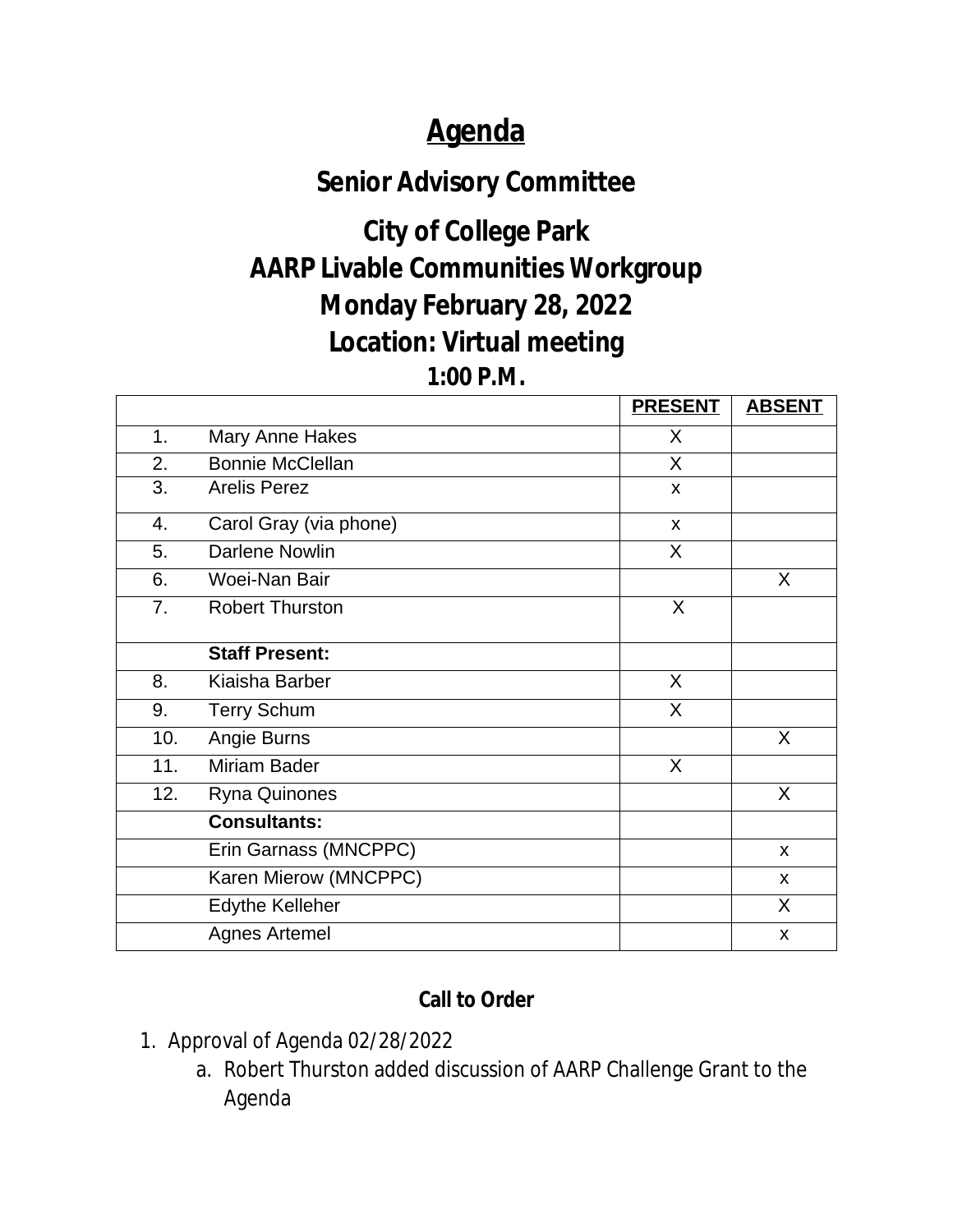# **Agenda**

## **Senior Advisory Committee**

# **City of College Park AARP Livable Communities Workgroup Monday February 28, 2022 Location: Virtual meeting**

#### **1:00 P.M.**

|     |                         | <b>PRESENT</b> | <b>ABSENT</b> |
|-----|-------------------------|----------------|---------------|
| 1.  | Mary Anne Hakes         | X              |               |
| 2.  | <b>Bonnie McClellan</b> | X              |               |
| 3.  | <b>Arelis Perez</b>     | X              |               |
| 4.  | Carol Gray (via phone)  | X              |               |
| 5.  | <b>Darlene Nowlin</b>   | X              |               |
| 6.  | Woei-Nan Bair           |                | $\sf X$       |
| 7.  | <b>Robert Thurston</b>  | X              |               |
|     | <b>Staff Present:</b>   |                |               |
| 8.  | Kiaisha Barber          | X              |               |
| 9.  | <b>Terry Schum</b>      | $\mathsf{X}$   |               |
| 10. | Angie Burns             |                | X             |
| 11. | <b>Miriam Bader</b>     | X              |               |
| 12. | Ryna Quinones           |                | X             |
|     | <b>Consultants:</b>     |                |               |
|     | Erin Garnass (MNCPPC)   |                | X             |
|     | Karen Mierow (MNCPPC)   |                | X             |
|     | <b>Edythe Kelleher</b>  |                | X.            |
|     | <b>Agnes Artemel</b>    |                | X             |

### **Call to Order**

- 1. Approval of Agenda 02/28/2022
	- a. Robert Thurston added discussion of AARP Challenge Grant to the Agenda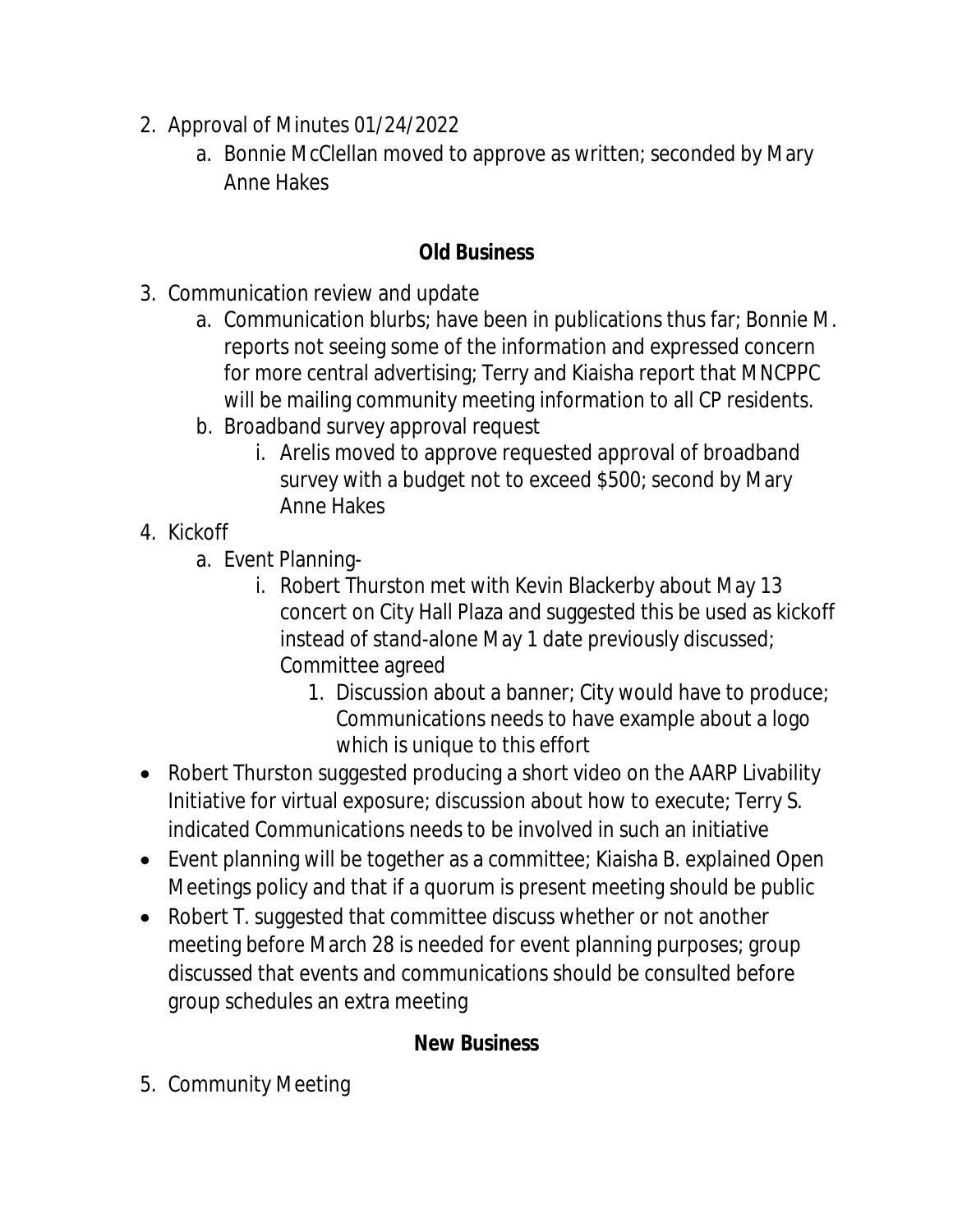- 2. Approval of Minutes 01/24/2022
	- a. Bonnie McClellan moved to approve as written; seconded by Mary Anne Hakes

#### **Old Business**

- 3. Communication review and update
	- a. Communication blurbs; have been in publications thus far; Bonnie M. reports not seeing some of the information and expressed concern for more central advertising; Terry and Kiaisha report that MNCPPC will be mailing community meeting information to all CP residents.
	- b. Broadband survey approval request
		- i. Arelis moved to approve requested approval of broadband survey with a budget not to exceed \$500; second by Mary Anne Hakes
- 4. Kickoff
	- a. Event Planning
		- i. Robert Thurston met with Kevin Blackerby about May 13 concert on City Hall Plaza and suggested this be used as kickoff instead of stand-alone May 1 date previously discussed; Committee agreed
			- 1. Discussion about a banner; City would have to produce; Communications needs to have example about a logo which is unique to this effort
- Robert Thurston suggested producing a short video on the AARP Livability Initiative for virtual exposure; discussion about how to execute; Terry S. indicated Communications needs to be involved in such an initiative
- Event planning will be together as a committee; Kiaisha B. explained Open Meetings policy and that if a quorum is present meeting should be public
- Robert T. suggested that committee discuss whether or not another meeting before March 28 is needed for event planning purposes; group discussed that events and communications should be consulted before group schedules an extra meeting

### **New Business**

5. Community Meeting